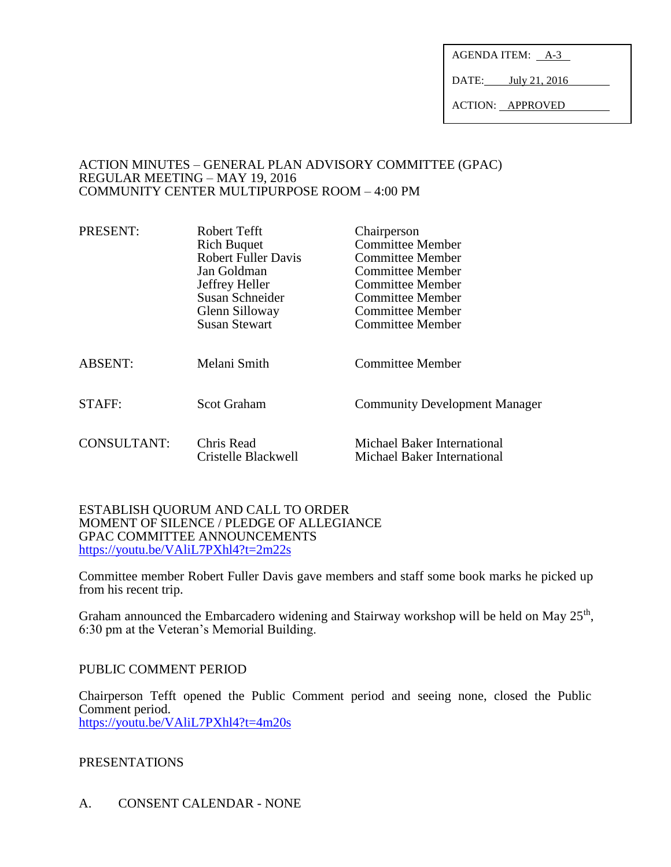AGENDA ITEM: A-3

DATE: July 21, 2016

ACTION: APPROVED

#### ACTION MINUTES – GENERAL PLAN ADVISORY COMMITTEE (GPAC) REGULAR MEETING – MAY 19, 2016 COMMUNITY CENTER MULTIPURPOSE ROOM – 4:00 PM

| PRESENT:           | Robert Tefft<br><b>Rich Buquet</b><br><b>Robert Fuller Davis</b><br>Jan Goldman<br>Jeffrey Heller<br>Susan Schneider<br>Glenn Silloway<br><b>Susan Stewart</b> | Chairperson<br><b>Committee Member</b><br><b>Committee Member</b><br>Committee Member<br><b>Committee Member</b><br><b>Committee Member</b><br>Committee Member<br>Committee Member |
|--------------------|----------------------------------------------------------------------------------------------------------------------------------------------------------------|-------------------------------------------------------------------------------------------------------------------------------------------------------------------------------------|
| <b>ABSENT:</b>     | Melani Smith                                                                                                                                                   | <b>Committee Member</b>                                                                                                                                                             |
| STAFF:             | <b>Scot Graham</b>                                                                                                                                             | <b>Community Development Manager</b>                                                                                                                                                |
| <b>CONSULTANT:</b> | Chris Read<br>Cristelle Blackwell                                                                                                                              | Michael Baker International<br>Michael Baker International                                                                                                                          |

#### ESTABLISH QUORUM AND CALL TO ORDER MOMENT OF SILENCE / PLEDGE OF ALLEGIANCE GPAC COMMITTEE ANNOUNCEMENTS <https://youtu.be/VAliL7PXhl4?t=2m22s>

Committee member Robert Fuller Davis gave members and staff some book marks he picked up from his recent trip.

Graham announced the Embarcadero widening and Stairway workshop will be held on May  $25<sup>th</sup>$ , 6:30 pm at the Veteran's Memorial Building.

## PUBLIC COMMENT PERIOD

Chairperson Tefft opened the Public Comment period and seeing none, closed the Public Comment period. <https://youtu.be/VAliL7PXhl4?t=4m20s>

## PRESENTATIONS

A. CONSENT CALENDAR - NONE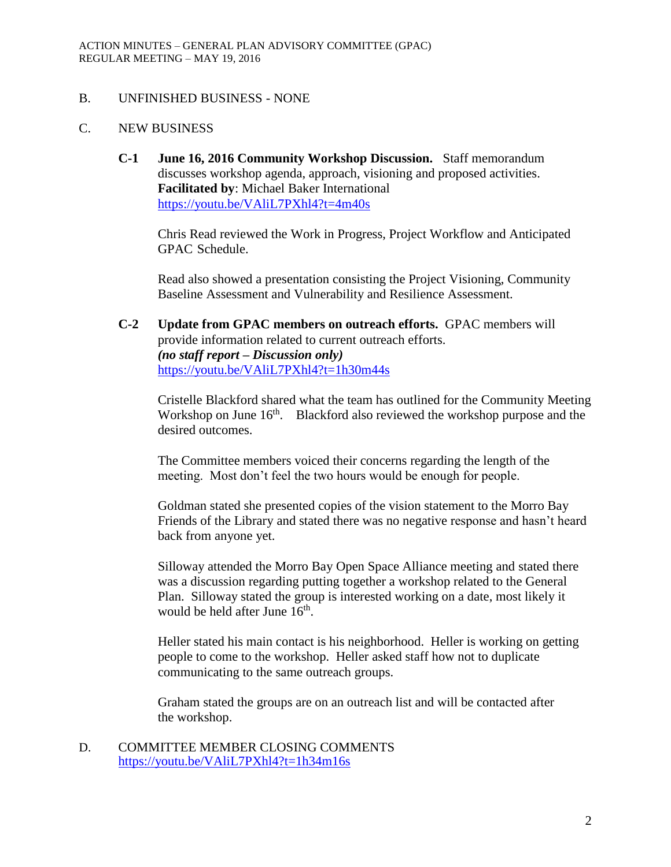## B. UNFINISHED BUSINESS - NONE

## C. NEW BUSINESS

**C-1 June 16, 2016 Community Workshop Discussion.** Staff memorandum discusses workshop agenda, approach, visioning and proposed activities. **Facilitated by**: Michael Baker International <https://youtu.be/VAliL7PXhl4?t=4m40s>

Chris Read reviewed the Work in Progress, Project Workflow and Anticipated GPAC Schedule.

Read also showed a presentation consisting the Project Visioning, Community Baseline Assessment and Vulnerability and Resilience Assessment.

**C-2 Update from GPAC members on outreach efforts.** GPAC members will provide information related to current outreach efforts. *(no staff report – Discussion only)* <https://youtu.be/VAliL7PXhl4?t=1h30m44s>

Cristelle Blackford shared what the team has outlined for the Community Meeting Workshop on June 16<sup>th</sup>. Blackford also reviewed the workshop purpose and the desired outcomes.

The Committee members voiced their concerns regarding the length of the meeting. Most don't feel the two hours would be enough for people.

Goldman stated she presented copies of the vision statement to the Morro Bay Friends of the Library and stated there was no negative response and hasn't heard back from anyone yet.

Silloway attended the Morro Bay Open Space Alliance meeting and stated there was a discussion regarding putting together a workshop related to the General Plan. Silloway stated the group is interested working on a date, most likely it would be held after June 16<sup>th</sup>.

Heller stated his main contact is his neighborhood. Heller is working on getting people to come to the workshop. Heller asked staff how not to duplicate communicating to the same outreach groups.

Graham stated the groups are on an outreach list and will be contacted after the workshop.

D. COMMITTEE MEMBER CLOSING COMMENTS <https://youtu.be/VAliL7PXhl4?t=1h34m16s>